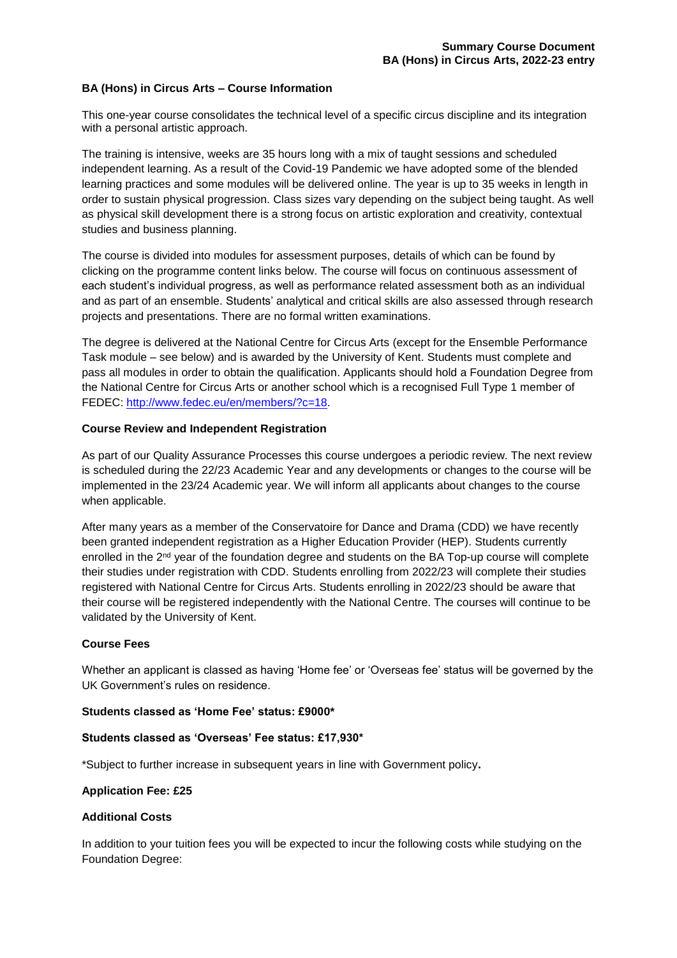#### **BA (Hons) in Circus Arts – Course Information**

This one-year course consolidates the technical level of a specific circus discipline and its integration with a personal artistic approach.

The training is intensive, weeks are 35 hours long with a mix of taught sessions and scheduled independent learning. As a result of the Covid-19 Pandemic we have adopted some of the blended learning practices and some modules will be delivered online. The year is up to 35 weeks in length in order to sustain physical progression. Class sizes vary depending on the subject being taught. As well as physical skill development there is a strong focus on artistic exploration and creativity, contextual studies and business planning.

The course is divided into modules for assessment purposes, details of which can be found by clicking on the programme content links below. The course will focus on continuous assessment of each student's individual progress, as well as performance related assessment both as an individual and as part of an ensemble. Students' analytical and critical skills are also assessed through research projects and presentations. There are no formal written examinations.

The degree is delivered at the National Centre for Circus Arts (except for the Ensemble Performance Task module – see below) and is awarded by the University of Kent. Students must complete and pass all modules in order to obtain the qualification. Applicants should hold a Foundation Degree from the National Centre for Circus Arts or another school which is a recognised Full Type 1 member of FEDEC: [http://www.fedec.eu/en/members/?c=18.](http://www.fedec.eu/en/members/?c=18)

### **Course Review and Independent Registration**

As part of our Quality Assurance Processes this course undergoes a periodic review. The next review is scheduled during the 22/23 Academic Year and any developments or changes to the course will be implemented in the 23/24 Academic year. We will inform all applicants about changes to the course when applicable.

After many years as a member of the Conservatoire for Dance and Drama (CDD) we have recently been granted independent registration as a Higher Education Provider (HEP). Students currently enrolled in the 2<sup>nd</sup> year of the foundation degree and students on the BA Top-up course will complete their studies under registration with CDD. Students enrolling from 2022/23 will complete their studies registered with National Centre for Circus Arts. Students enrolling in 2022/23 should be aware that their course will be registered independently with the National Centre. The courses will continue to be validated by the University of Kent.

#### **Course Fees**

Whether an applicant is classed as having 'Home fee' or 'Overseas fee' status will be governed by the UK Government's rules on residence.

#### **Students classed as 'Home Fee' status: £9000\***

#### **Students classed as 'Overseas' Fee status: £17,930\***

\*Subject to further increase in subsequent years in line with Government policy**.** 

#### **Application Fee: £25**

#### **Additional Costs**

In addition to your tuition fees you will be expected to incur the following costs while studying on the Foundation Degree: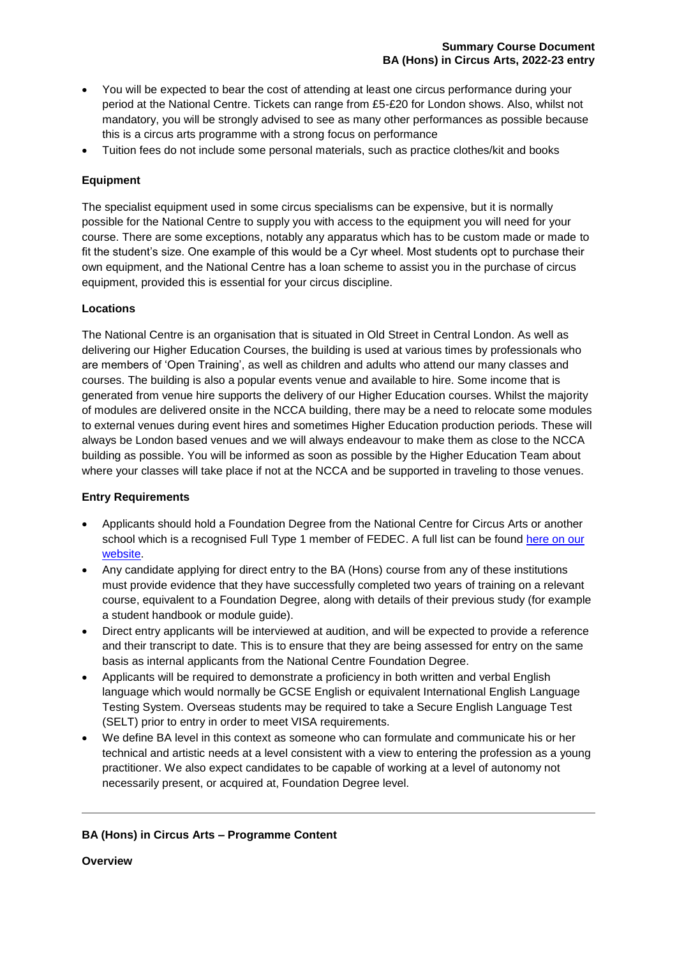- You will be expected to bear the cost of attending at least one circus performance during your period at the National Centre. Tickets can range from £5-£20 for London shows. Also, whilst not mandatory, you will be strongly advised to see as many other performances as possible because this is a circus arts programme with a strong focus on performance
- Tuition fees do not include some personal materials, such as practice clothes/kit and books

# **Equipment**

The specialist equipment used in some circus specialisms can be expensive, but it is normally possible for the National Centre to supply you with access to the equipment you will need for your course. There are some exceptions, notably any apparatus which has to be custom made or made to fit the student's size. One example of this would be a Cyr wheel. Most students opt to purchase their own equipment, and the National Centre has a loan scheme to assist you in the purchase of circus equipment, provided this is essential for your circus discipline.

# **Locations**

The National Centre is an organisation that is situated in Old Street in Central London. As well as delivering our Higher Education Courses, the building is used at various times by professionals who are members of 'Open Training', as well as children and adults who attend our many classes and courses. The building is also a popular events venue and available to hire. Some income that is generated from venue hire supports the delivery of our Higher Education courses. Whilst the majority of modules are delivered onsite in the NCCA building, there may be a need to relocate some modules to external venues during event hires and sometimes Higher Education production periods. These will always be London based venues and we will always endeavour to make them as close to the NCCA building as possible. You will be informed as soon as possible by the Higher Education Team about where your classes will take place if not at the NCCA and be supported in traveling to those venues.

### **Entry Requirements**

- Applicants should hold a Foundation Degree from the National Centre for Circus Arts or another school which is a recognised Full Type 1 member of FEDEC. A full list can be found here on our [website.](https://www.nationalcircus.org.uk/degrees/ba-hons/)
- Any candidate applying for direct entry to the BA (Hons) course from any of these institutions must provide evidence that they have successfully completed two years of training on a relevant course, equivalent to a Foundation Degree, along with details of their previous study (for example a student handbook or module guide).
- Direct entry applicants will be interviewed at audition, and will be expected to provide a reference and their transcript to date. This is to ensure that they are being assessed for entry on the same basis as internal applicants from the National Centre Foundation Degree.
- Applicants will be required to demonstrate a proficiency in both written and verbal English language which would normally be GCSE English or equivalent International English Language Testing System. Overseas students may be required to take a Secure English Language Test (SELT) prior to entry in order to meet VISA requirements.
- We define BA level in this context as someone who can formulate and communicate his or her technical and artistic needs at a level consistent with a view to entering the profession as a young practitioner. We also expect candidates to be capable of working at a level of autonomy not necessarily present, or acquired at, Foundation Degree level.

# **BA (Hons) in Circus Arts – Programme Content**

**Overview**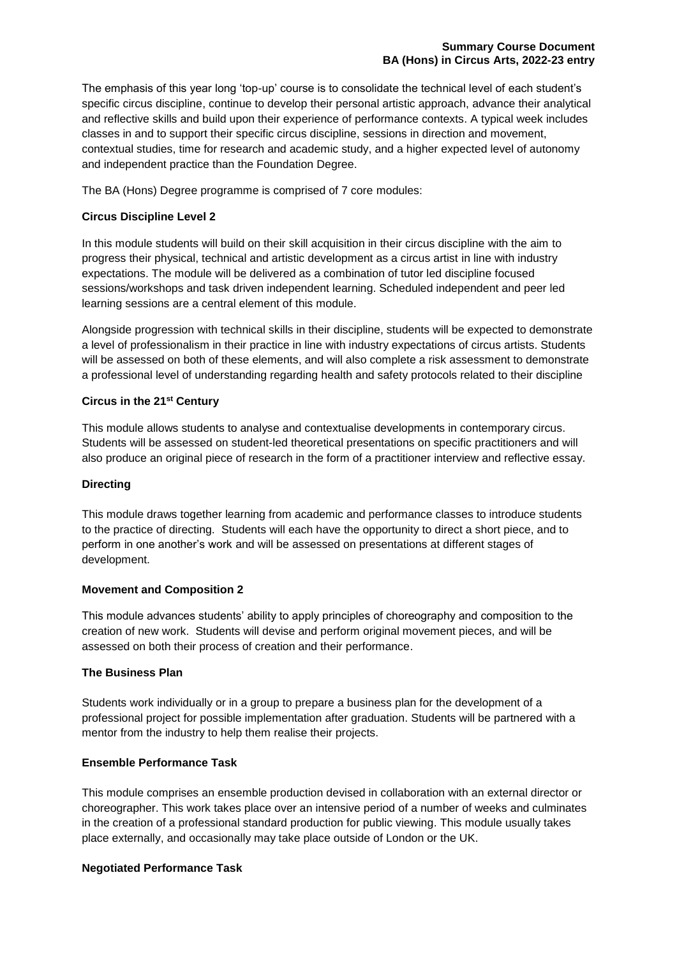The emphasis of this year long 'top-up' course is to consolidate the technical level of each student's specific circus discipline, continue to develop their personal artistic approach, advance their analytical and reflective skills and build upon their experience of performance contexts. A typical week includes classes in and to support their specific circus discipline, sessions in direction and movement, contextual studies, time for research and academic study, and a higher expected level of autonomy and independent practice than the Foundation Degree.

The BA (Hons) Degree programme is comprised of 7 core modules:

# **Circus Discipline Level 2**

In this module students will build on their skill acquisition in their circus discipline with the aim to progress their physical, technical and artistic development as a circus artist in line with industry expectations. The module will be delivered as a combination of tutor led discipline focused sessions/workshops and task driven independent learning. Scheduled independent and peer led learning sessions are a central element of this module.

Alongside progression with technical skills in their discipline, students will be expected to demonstrate a level of professionalism in their practice in line with industry expectations of circus artists. Students will be assessed on both of these elements, and will also complete a risk assessment to demonstrate a professional level of understanding regarding health and safety protocols related to their discipline

# **Circus in the 21st Century**

This module allows students to analyse and contextualise developments in contemporary circus. Students will be assessed on student-led theoretical presentations on specific practitioners and will also produce an original piece of research in the form of a practitioner interview and reflective essay.

### **Directing**

This module draws together learning from academic and performance classes to introduce students to the practice of directing. Students will each have the opportunity to direct a short piece, and to perform in one another's work and will be assessed on presentations at different stages of development.

### **Movement and Composition 2**

This module advances students' ability to apply principles of choreography and composition to the creation of new work. Students will devise and perform original movement pieces, and will be assessed on both their process of creation and their performance.

### **The Business Plan**

Students work individually or in a group to prepare a business plan for the development of a professional project for possible implementation after graduation. Students will be partnered with a mentor from the industry to help them realise their projects.

### **Ensemble Performance Task**

This module comprises an ensemble production devised in collaboration with an external director or choreographer. This work takes place over an intensive period of a number of weeks and culminates in the creation of a professional standard production for public viewing. This module usually takes place externally, and occasionally may take place outside of London or the UK.

### **Negotiated Performance Task**